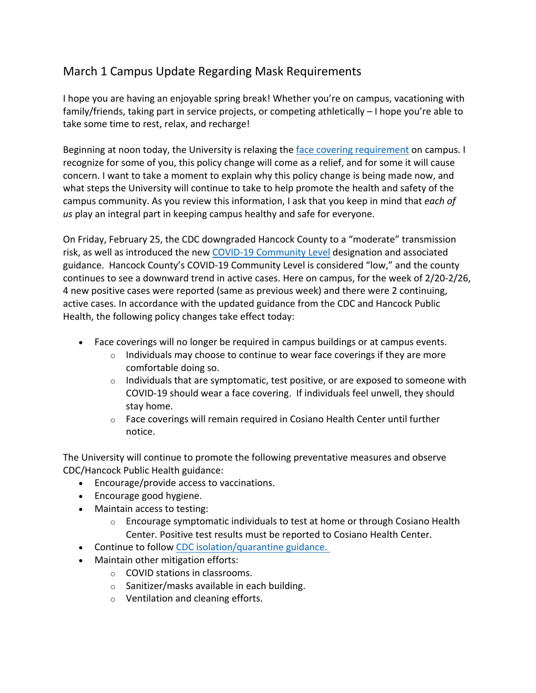## March 1 Campus Update Regarding Mask Requirements

I hope you are having an enjoyable spring break! Whether you're on campus, vacationing with family/friends, taking part in service projects, or competing athletically – I hope you're able to take some time to rest, relax, and recharge!

Beginning at noon today, the University is relaxing the face covering requirement on campus. I recognize for some of you, this policy change will come as a relief, and for some it will cause concern. I want to take a moment to explain why this policy change is being made now, and what steps the University will continue to take to help promote the health and safety of the campus community. As you review this information, I ask that you keep in mind that *each of us* play an integral part in keeping campus healthy and safe for everyone.

On Friday, February 25, the CDC downgraded Hancock County to a "moderate" transmission risk, as well as introduced the new COVID-19 Community Level designation and associated guidance. Hancock County's COVID-19 Community Level is considered "low," and the county continues to see a downward trend in active cases. Here on campus, for the week of 2/20-2/26, 4 new positive cases were reported (same as previous week) and there were 2 continuing, active cases. In accordance with the updated guidance from the CDC and Hancock Public Health, the following policy changes take effect today:

- Face coverings will no longer be required in campus buildings or at campus events.
	- $\circ$  Individuals may choose to continue to wear face coverings if they are more comfortable doing so.
	- $\circ$  Individuals that are symptomatic, test positive, or are exposed to someone with COVID-19 should wear a face covering. If individuals feel unwell, they should stay home.
	- $\circ$  Face coverings will remain required in Cosiano Health Center until further notice.

The University will continue to promote the following preventative measures and observe CDC/Hancock Public Health guidance:

- Encourage/provide access to vaccinations.
- Encourage good hygiene.
- Maintain access to testing:
	- $\circ$  Encourage symptomatic individuals to test at home or through Cosiano Health Center. Positive test results must be reported to Cosiano Health Center.
- Continue to follow CDC isolation/quarantine guidance.
- Maintain other mitigation efforts:
	- o COVID stations in classrooms.
	- o Sanitizer/masks available in each building.
	- o Ventilation and cleaning efforts.